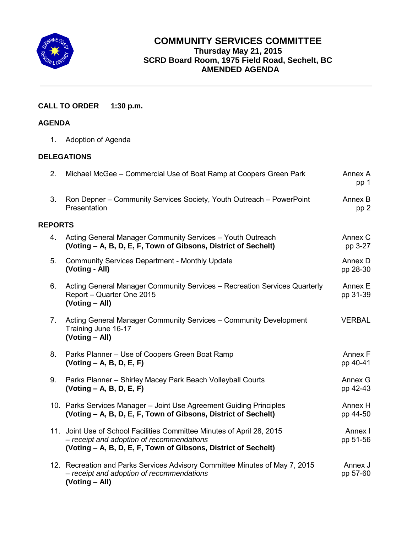

# **COMMUNITY SERVICES COMMITTEE Thursday May 21, 2015 SCRD Board Room, 1975 Field Road, Sechelt, BC AMENDED AGENDA**

# **CALL TO ORDER 1:30 p.m.**

### **AGENDA**

1. Adoption of Agenda

## **DELEGATIONS**

| 2.             | Michael McGee - Commercial Use of Boat Ramp at Coopers Green Park                                                                                                                     | Annex A<br>pp 1     |
|----------------|---------------------------------------------------------------------------------------------------------------------------------------------------------------------------------------|---------------------|
| 3.             | Ron Depner – Community Services Society, Youth Outreach – PowerPoint<br>Presentation                                                                                                  | Annex B<br>pp 2     |
| <b>REPORTS</b> |                                                                                                                                                                                       |                     |
| 4.             | Acting General Manager Community Services - Youth Outreach<br>(Voting – A, B, D, E, F, Town of Gibsons, District of Sechelt)                                                          | Annex C<br>pp 3-27  |
| 5.             | <b>Community Services Department - Monthly Update</b><br>(Voting - All)                                                                                                               | Annex D<br>pp 28-30 |
| 6.             | Acting General Manager Community Services - Recreation Services Quarterly<br>Report - Quarter One 2015<br>(Voting - All)                                                              | Annex E<br>pp 31-39 |
| 7 <sub>1</sub> | Acting General Manager Community Services - Community Development<br>Training June 16-17<br>(Voting - All)                                                                            | <b>VERBAL</b>       |
| 8.             | Parks Planner - Use of Coopers Green Boat Ramp<br>$( Voting - A, B, D, E, F)$                                                                                                         | Annex F<br>pp 40-41 |
| 9.             | Parks Planner - Shirley Macey Park Beach Volleyball Courts<br>$( Voting - A, B, D, E, F)$                                                                                             | Annex G<br>pp 42-43 |
|                | 10. Parks Services Manager - Joint Use Agreement Guiding Principles<br>(Voting – A, B, D, E, F, Town of Gibsons, District of Sechelt)                                                 | Annex H<br>pp 44-50 |
|                | 11. Joint Use of School Facilities Committee Minutes of April 28, 2015<br>- receipt and adoption of recommendations<br>(Voting – A, B, D, E, F, Town of Gibsons, District of Sechelt) | Annex I<br>pp 51-56 |
|                | 12. Recreation and Parks Services Advisory Committee Minutes of May 7, 2015<br>- receipt and adoption of recommendations<br>(Voting - All)                                            | Annex J<br>pp 57-60 |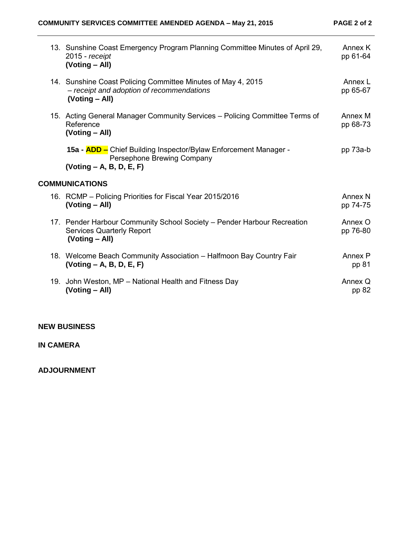| 13. Sunshine Coast Emergency Program Planning Committee Minutes of April 29,<br>$2015$ - receipt<br>(Voting - All)            | Annex K<br>pp 61-64            |
|-------------------------------------------------------------------------------------------------------------------------------|--------------------------------|
| 14. Sunshine Coast Policing Committee Minutes of May 4, 2015<br>- receipt and adoption of recommendations<br>(Voting – All)   | Annex L<br>pp 65-67            |
| 15. Acting General Manager Community Services - Policing Committee Terms of<br>Reference<br>(Voting – All)                    | Annex M<br>pp 68-73            |
| 15a - <b>ADD</b> – Chief Building Inspector/Bylaw Enforcement Manager -<br>Persephone Brewing Company                         | pp 73a-b                       |
| $( Voting - A, B, D, E, F)$                                                                                                   |                                |
| <b>COMMUNICATIONS</b>                                                                                                         |                                |
| 16. RCMP – Policing Priorities for Fiscal Year 2015/2016<br>(Voting – All)                                                    | Annex <sub>N</sub><br>pp 74-75 |
| 17. Pender Harbour Community School Society - Pender Harbour Recreation<br><b>Services Quarterly Report</b><br>(Voting - All) | Annex O<br>pp 76-80            |
| 18. Welcome Beach Community Association - Halfmoon Bay Country Fair<br>$(Voting - A, B, D, E, F)$                             | Annex P<br>pp 81               |
| 19. John Weston, MP - National Health and Fitness Day<br>(Voting - All)                                                       | Annex Q<br>pp 82               |

## **NEW BUSINESS**

# **IN CAMERA**

**ADJOURNMENT**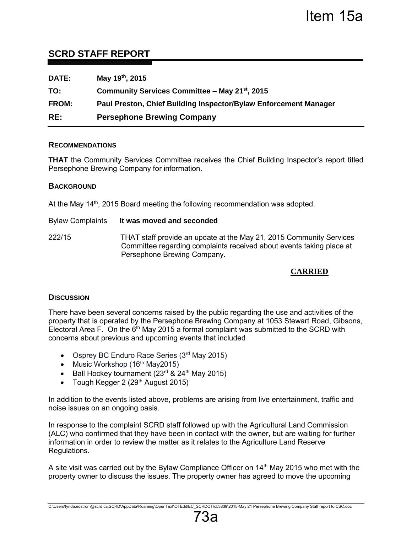# <span id="page-2-0"></span>**SCRD STAFF REPORT**

| <b>DATE:</b> | May 19th, 2015                                                   |
|--------------|------------------------------------------------------------------|
| TO:          | Community Services Committee - May 21 <sup>st</sup> , 2015       |
| <b>FROM:</b> | Paul Preston, Chief Building Inspector/Bylaw Enforcement Manager |
| RE:          | <b>Persephone Brewing Company</b>                                |

### **RECOMMENDATIONS**

**THAT** the Community Services Committee receives the Chief Building Inspector's report titled Persephone Brewing Company for information.

### **BACKGROUND**

At the May 14<sup>th</sup>, 2015 Board meeting the following recommendation was adopted.

#### Bylaw Complaints **It was moved and seconded**

222/15THAT staff provide an update at the May 21, 2015 Community Services Committee regarding complaints received about events taking place at Persephone Brewing Company.

## **CARRIED**

### **DISCUSSION**

There have been several concerns raised by the public regarding the use and activities of the property that is operated by the Persephone Brewing Company at 1053 Stewart Road, Gibsons, Electoral Area F. On the  $6<sup>th</sup>$  May 2015 a formal complaint was submitted to the SCRD with concerns about previous and upcoming events that included

- Osprey BC Enduro Race Series (3rd May 2015)
- Music Workshop  $(16<sup>th</sup>$  May2015)
- Ball Hockey tournament  $(23<sup>rd</sup>$  &  $24<sup>th</sup>$  May 2015)
- Tough Kegger 2 ( $29<sup>th</sup>$  August 2015)

In addition to the events listed above, problems are arising from live entertainment, traffic and noise issues on an ongoing basis.

In response to the complaint SCRD staff followed up with the Agricultural Land Commission (ALC) who confirmed that they have been in contact with the owner, but are waiting for further information in order to review the matter as it relates to the Agriculture Land Reserve Regulations.

A site visit was carried out by the Bylaw Compliance Officer on 14th May 2015 who met with the property owner to discuss the issues. The property owner has agreed to move the upcoming

73a